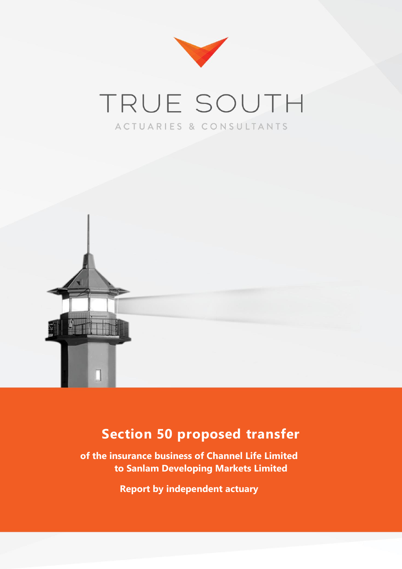

# TRUE SOUTH ACTUARIES & CONSULTANTS



## **Section 50 proposed transfer**

**of the insurance business of Channel Life Limited to Sanlam Developing Markets Limited**

**Report by independent actuary**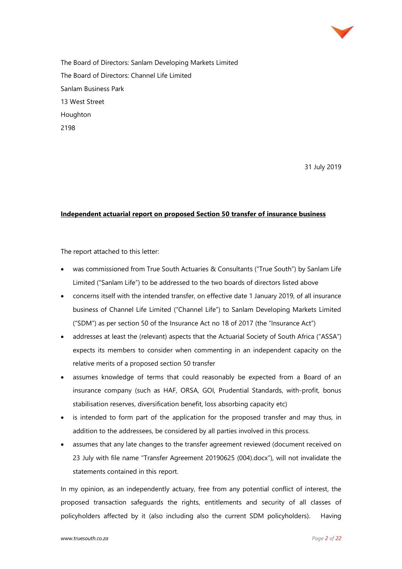

The Board of Directors: Sanlam Developing Markets Limited The Board of Directors: Channel Life Limited Sanlam Business Park 13 West Street Houghton 2198

31 July 2019

#### **Independent actuarial report on proposed Section 50 transfer of insurance business**

The report attached to this letter:

- was commissioned from True South Actuaries & Consultants ("True South") by Sanlam Life Limited ("Sanlam Life") to be addressed to the two boards of directors listed above
- concerns itself with the intended transfer, on effective date 1 January 2019, of all insurance business of Channel Life Limited ("Channel Life") to Sanlam Developing Markets Limited ("SDM") as per section 50 of the Insurance Act no 18 of 2017 (the "Insurance Act")
- addresses at least the (relevant) aspects that the Actuarial Society of South Africa ("ASSA") expects its members to consider when commenting in an independent capacity on the relative merits of a proposed section 50 transfer
- assumes knowledge of terms that could reasonably be expected from a Board of an insurance company (such as HAF, ORSA, GOI, Prudential Standards, with-profit, bonus stabilisation reserves, diversification benefit, loss absorbing capacity etc)
- is intended to form part of the application for the proposed transfer and may thus, in addition to the addressees, be considered by all parties involved in this process.
- assumes that any late changes to the transfer agreement reviewed (document received on 23 July with file name "Transfer Agreement 20190625 (004).docx"), will not invalidate the statements contained in this report.

In my opinion, as an independently actuary, free from any potential conflict of interest, the proposed transaction safeguards the rights, entitlements and security of all classes of policyholders affected by it (also including also the current SDM policyholders). Having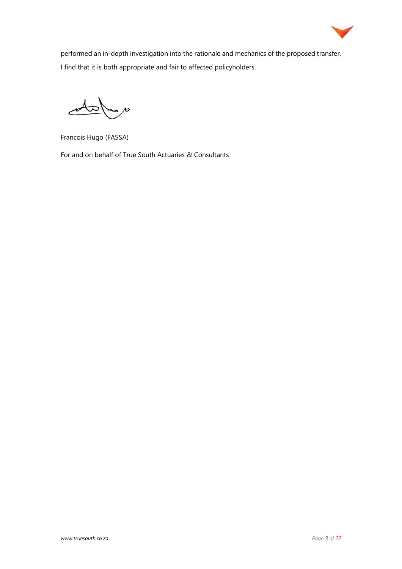

performed an in-depth investigation into the rationale and mechanics of the proposed transfer, I find that it is both appropriate and fair to affected policyholders.

 $\overline{\phantom{a}}$ 

Francois Hugo (FASSA)

For and on behalf of True South Actuaries & Consultants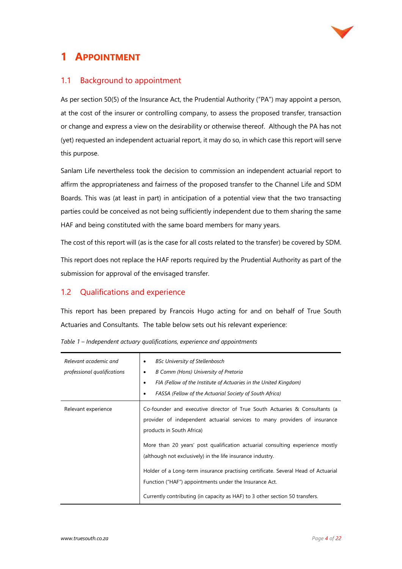

## **1 APPOINTMENT**

#### 1.1 Background to appointment

As per section 50(5) of the Insurance Act, the Prudential Authority ("PA") may appoint a person, at the cost of the insurer or controlling company, to assess the proposed transfer, transaction or change and express a view on the desirability or otherwise thereof. Although the PA has not (yet) requested an independent actuarial report, it may do so, in which case this report will serve this purpose.

Sanlam Life nevertheless took the decision to commission an independent actuarial report to affirm the appropriateness and fairness of the proposed transfer to the Channel Life and SDM Boards. This was (at least in part) in anticipation of a potential view that the two transacting parties could be conceived as not being sufficiently independent due to them sharing the same HAF and being constituted with the same board members for many years.

The cost of this report will (as is the case for all costs related to the transfer) be covered by SDM.

This report does not replace the HAF reports required by the Prudential Authority as part of the submission for approval of the envisaged transfer.

#### 1.2 Qualifications and experience

This report has been prepared by Francois Hugo acting for and on behalf of True South Actuaries and Consultants. The table below sets out his relevant experience:

| Relevant academic and<br>professional qualifications | <b>BSc University of Stellenbosch</b><br>٠<br>B Comm (Hons) University of Pretoria<br>٠<br>FIA (Fellow of the Institute of Actuaries in the United Kingdom)<br>٠<br>FASSA (Fellow of the Actuarial Society of South Africa)<br>٠                                                                                                                                                                                                                                                   |
|------------------------------------------------------|------------------------------------------------------------------------------------------------------------------------------------------------------------------------------------------------------------------------------------------------------------------------------------------------------------------------------------------------------------------------------------------------------------------------------------------------------------------------------------|
| Relevant experience                                  | Co-founder and executive director of True South Actuaries & Consultants (a<br>provider of independent actuarial services to many providers of insurance<br>products in South Africa)<br>More than 20 years' post qualification actuarial consulting experience mostly<br>(although not exclusively) in the life insurance industry.<br>Holder of a Long-term insurance practising certificate. Several Head of Actuarial<br>Function ("HAF") appointments under the Insurance Act. |
|                                                      | Currently contributing (in capacity as HAF) to 3 other section 50 transfers.                                                                                                                                                                                                                                                                                                                                                                                                       |

| Table 1 - Independent actuary qualifications, experience and appointments |  |
|---------------------------------------------------------------------------|--|
|---------------------------------------------------------------------------|--|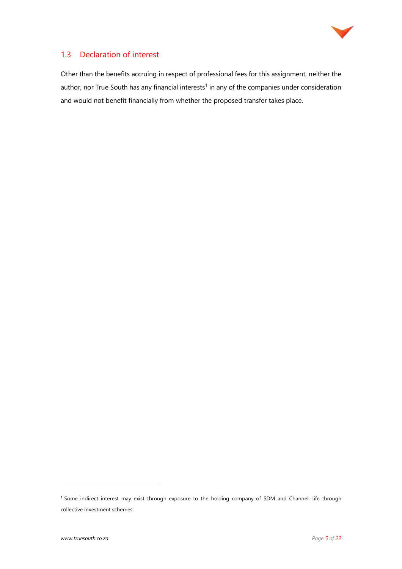

#### 1.3 Declaration of interest

Other than the benefits accruing in respect of professional fees for this assignment, neither the author, nor True South has any financial interests<sup>1</sup> in any of the companies under consideration and would not benefit financially from whether the proposed transfer takes place.

<sup>&</sup>lt;sup>1</sup> Some indirect interest may exist through exposure to the holding company of SDM and Channel Life through collective investment schemes.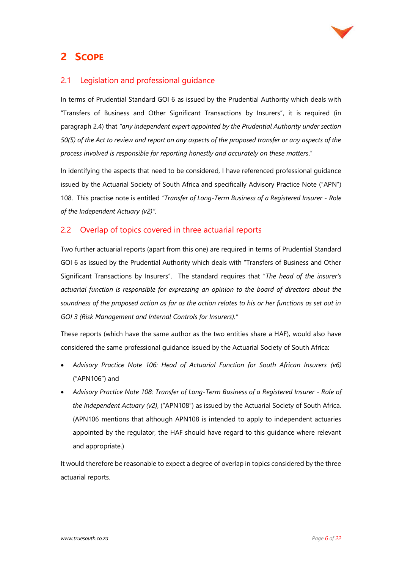

## **2 SCOPE**

#### 2.1 Legislation and professional guidance

In terms of Prudential Standard GOI 6 as issued by the Prudential Authority which deals with "Transfers of Business and Other Significant Transactions by Insurers", it is required (in paragraph 2.4) that *"any independent expert appointed by the Prudential Authority under section 50(5) of the Act to review and report on any aspects of the proposed transfer or any aspects of the process involved is responsible for reporting honestly and accurately on these matters*."

In identifying the aspects that need to be considered, I have referenced professional guidance issued by the Actuarial Society of South Africa and specifically Advisory Practice Note ("APN") 108. This practise note is entitled *"Transfer of Long-Term Business of a Registered Insurer - Role of the Independent Actuary (v2)".*

#### 2.2 Overlap of topics covered in three actuarial reports

Two further actuarial reports (apart from this one) are required in terms of Prudential Standard GOI 6 as issued by the Prudential Authority which deals with "Transfers of Business and Other Significant Transactions by Insurers". The standard requires that "*The head of the insurer's actuarial function is responsible for expressing an opinion to the board of directors about the soundness of the proposed action as far as the action relates to his or her functions as set out in GOI 3 (Risk Management and Internal Controls for Insurers)."*

These reports (which have the same author as the two entities share a HAF), would also have considered the same professional guidance issued by the Actuarial Society of South Africa:

- *Advisory Practice Note 106: Head of Actuarial Function for South African Insurers (v6)* ("APN106") and
- *Advisory Practice Note 108: Transfer of Long-Term Business of a Registered Insurer - Role of the Independent Actuary (v2)*, ("APN108") as issued by the Actuarial Society of South Africa. (APN106 mentions that although APN108 is intended to apply to independent actuaries appointed by the regulator, the HAF should have regard to this guidance where relevant and appropriate.)

It would therefore be reasonable to expect a degree of overlap in topics considered by the three actuarial reports.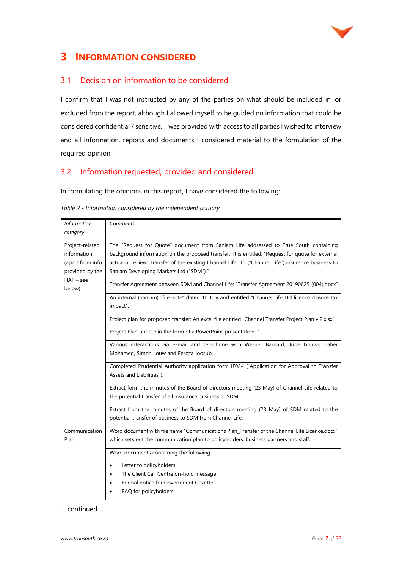

## **3 INFORMATION CONSIDERED**

#### 3.1 Decision on information to be considered

I confirm that I was not instructed by any of the parties on what should be included in, or excluded from the report, although I allowed myself to be guided on information that could be considered confidential / sensitive. I was provided with access to all parties I wished to interview and all information, reports and documents I considered material to the formulation of the required opinion.

#### 3.2 Information requested, provided and considered

In formulating the opinions in this report, I have considered the following:

| Information                                                                                    | Comments                                                                                                                                                                                                                                                                                                                                                                                                                                                                                                                                                                                                                                                                                                                                                                                                                                                                                                                                                                                                                                                                                                                                                                                                                                                                                                                 |
|------------------------------------------------------------------------------------------------|--------------------------------------------------------------------------------------------------------------------------------------------------------------------------------------------------------------------------------------------------------------------------------------------------------------------------------------------------------------------------------------------------------------------------------------------------------------------------------------------------------------------------------------------------------------------------------------------------------------------------------------------------------------------------------------------------------------------------------------------------------------------------------------------------------------------------------------------------------------------------------------------------------------------------------------------------------------------------------------------------------------------------------------------------------------------------------------------------------------------------------------------------------------------------------------------------------------------------------------------------------------------------------------------------------------------------|
| category                                                                                       |                                                                                                                                                                                                                                                                                                                                                                                                                                                                                                                                                                                                                                                                                                                                                                                                                                                                                                                                                                                                                                                                                                                                                                                                                                                                                                                          |
| Project-related<br>information<br>(apart from info<br>provided by the<br>$HAF - see$<br>below) | The "Request for Quote" document from Sanlam Life addressed to True South containing<br>background information on the proposed transfer. It is entitled: "Request for quote for external<br>actuarial review: Transfer of the existing Channel Life Ltd ("Channel Life") insurance business to<br>Sanlam Developing Markets Ltd ("SDM")."<br>Transfer Agreement between SDM and Channel Life: "Transfer Agreement 20190625 (004).docx"<br>An internal (Sanlam) "file note" dated 10 July and entitled "Channel Life Ltd licence closure tax<br>impact".<br>Project plan for proposed transfer: An excel file entitled "Channel Transfer Project Plan v 2.xlsx".<br>Project Plan update in the form of a PowerPoint presentation: "<br>Various interactions via e-mail and telephone with Werner Barnard, Jurie Gouws, Taher<br>Mohamed, Simon Louw and Feroza Joosub.<br>Completed Prudential Authority application form IF024 ("Application for Approval to Transfer<br>Assets and Liabilities").<br>Extract form the minutes of the Board of directors meeting (23 May) of Channel Life related to<br>the potential transfer of all insurance business to SDM<br>Extract from the minutes of the Board of directors meeting (23 May) of SDM related to the<br>potential transfer of business to SDM from Channel Life. |
| Communication<br>Plan                                                                          | Word document with file name "Communications Plan_Transfer of the Channel Life Licence.docx"<br>which sets out the communication plan to policyholders, business partners and staff.                                                                                                                                                                                                                                                                                                                                                                                                                                                                                                                                                                                                                                                                                                                                                                                                                                                                                                                                                                                                                                                                                                                                     |
|                                                                                                | Word documents containing the following:<br>Letter to policyholders<br>$\bullet$<br>The Client Call Centre on-hold message<br>$\bullet$<br>Formal notice for Government Gazette<br>$\bullet$<br>FAQ for policyholders                                                                                                                                                                                                                                                                                                                                                                                                                                                                                                                                                                                                                                                                                                                                                                                                                                                                                                                                                                                                                                                                                                    |

|  | Table 2 - Information considered by the independent actuary |  |  |  |
|--|-------------------------------------------------------------|--|--|--|
|  |                                                             |  |  |  |

… continued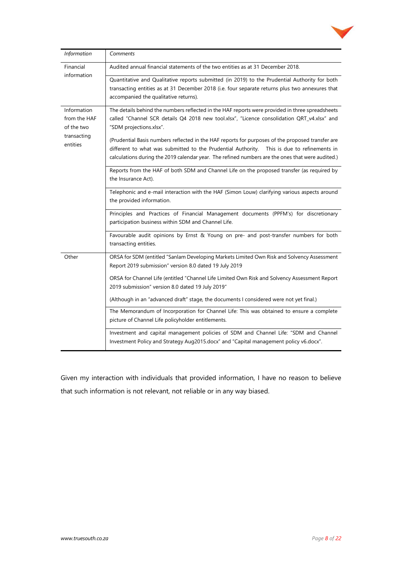

| Information               | Comments                                                                                         |  |  |  |  |
|---------------------------|--------------------------------------------------------------------------------------------------|--|--|--|--|
| Financial                 | Audited annual financial statements of the two entities as at 31 December 2018.                  |  |  |  |  |
| information               | Quantitative and Qualitative reports submitted (in 2019) to the Prudential Authority for both    |  |  |  |  |
|                           | transacting entities as at 31 December 2018 (i.e. four separate returns plus two annexures that  |  |  |  |  |
|                           | accompanied the qualitative returns).                                                            |  |  |  |  |
| Information               | The details behind the numbers reflected in the HAF reports were provided in three spreadsheets  |  |  |  |  |
| from the HAF              | called "Channel SCR details Q4 2018 new tool.xlsx", "Licence consolidation QRT_v4.xlsx" and      |  |  |  |  |
| of the two<br>transacting | "SDM projections.xlsx".                                                                          |  |  |  |  |
| entities                  | (Prudential Basis numbers reflected in the HAF reports for purposes of the proposed transfer are |  |  |  |  |
|                           | different to what was submitted to the Prudential Authority. This is due to refinements in       |  |  |  |  |
|                           | calculations during the 2019 calendar year. The refined numbers are the ones that were audited.) |  |  |  |  |
|                           | Reports from the HAF of both SDM and Channel Life on the proposed transfer (as required by       |  |  |  |  |
|                           | the Insurance Act).                                                                              |  |  |  |  |
|                           | Telephonic and e-mail interaction with the HAF (Simon Louw) clarifying various aspects around    |  |  |  |  |
|                           | the provided information.                                                                        |  |  |  |  |
|                           | Principles and Practices of Financial Management documents (PPFM's) for discretionary            |  |  |  |  |
|                           | participation business within SDM and Channel Life.                                              |  |  |  |  |
|                           | Favourable audit opinions by Ernst & Young on pre- and post-transfer numbers for both            |  |  |  |  |
|                           | transacting entities.                                                                            |  |  |  |  |
| Other                     | ORSA for SDM (entitled "Sanlam Developing Markets Limited Own Risk and Solvency Assessment       |  |  |  |  |
|                           | Report 2019 submission" version 8.0 dated 19 July 2019                                           |  |  |  |  |
|                           | ORSA for Channel Life (entitled "Channel Life Limited Own Risk and Solvency Assessment Report    |  |  |  |  |
|                           | 2019 submission" version 8.0 dated 19 July 2019"                                                 |  |  |  |  |
|                           | (Although in an "advanced draft" stage, the documents I considered were not yet final.)          |  |  |  |  |
|                           | The Memorandum of Incorporation for Channel Life: This was obtained to ensure a complete         |  |  |  |  |
|                           | picture of Channel Life policyholder entitlements.                                               |  |  |  |  |
|                           | Investment and capital management policies of SDM and Channel Life: "SDM and Channel             |  |  |  |  |
|                           | Investment Policy and Strategy Aug2015.docx" and "Capital management policy v6.docx".            |  |  |  |  |

Given my interaction with individuals that provided information, I have no reason to believe that such information is not relevant, not reliable or in any way biased.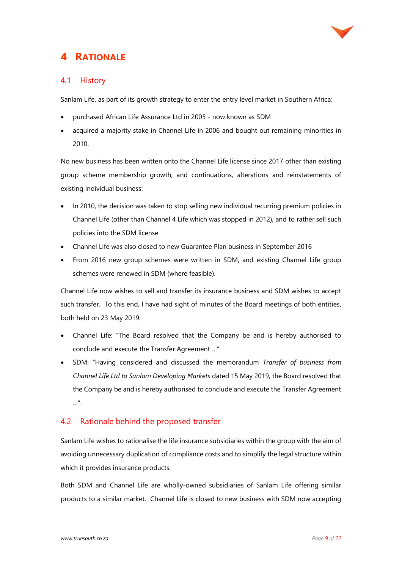

## **4 RATIONALE**

#### 4.1 History

Sanlam Life, as part of its growth strategy to enter the entry level market in Southern Africa:

- purchased African Life Assurance Ltd in 2005 now known as SDM
- acquired a majority stake in Channel Life in 2006 and bought out remaining minorities in 2010.

No new business has been written onto the Channel Life license since 2017 other than existing group scheme membership growth, and continuations, alterations and reinstatements of existing individual business:

- In 2010, the decision was taken to stop selling new individual recurring premium policies in Channel Life (other than Channel 4 Life which was stopped in 2012), and to rather sell such policies into the SDM license
- Channel Life was also closed to new Guarantee Plan business in September 2016
- From 2016 new group schemes were written in SDM, and existing Channel Life group schemes were renewed in SDM (where feasible).

Channel Life now wishes to sell and transfer its insurance business and SDM wishes to accept such transfer. To this end, I have had sight of minutes of the Board meetings of both entities, both held on 23 May 2019:

- Channel Life: "The Board resolved that the Company be and is hereby authorised to conclude and execute the Transfer Agreement …"
- SDM: "Having considered and discussed the memorandum *Transfer of business from Channel Life Ltd to Sanlam Developing Markets* dated 15 May 2019, the Board resolved that the Company be and is hereby authorised to conclude and execute the Transfer Agreement …".

#### 4.2 Rationale behind the proposed transfer

Sanlam Life wishes to rationalise the life insurance subsidiaries within the group with the aim of avoiding unnecessary duplication of compliance costs and to simplify the legal structure within which it provides insurance products.

Both SDM and Channel Life are wholly-owned subsidiaries of Sanlam Life offering similar products to a similar market. Channel Life is closed to new business with SDM now accepting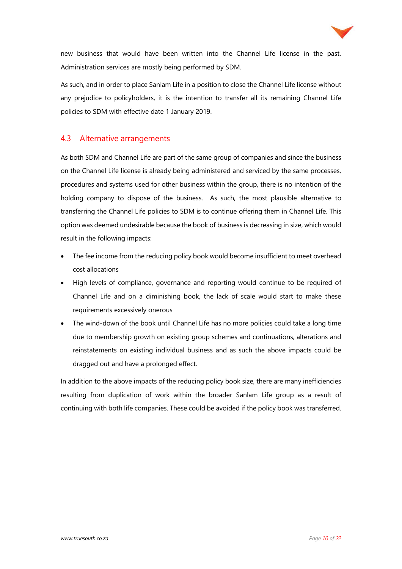

new business that would have been written into the Channel Life license in the past. Administration services are mostly being performed by SDM.

As such, and in order to place Sanlam Life in a position to close the Channel Life license without any prejudice to policyholders, it is the intention to transfer all its remaining Channel Life policies to SDM with effective date 1 January 2019.

#### 4.3 Alternative arrangements

As both SDM and Channel Life are part of the same group of companies and since the business on the Channel Life license is already being administered and serviced by the same processes, procedures and systems used for other business within the group, there is no intention of the holding company to dispose of the business. As such, the most plausible alternative to transferring the Channel Life policies to SDM is to continue offering them in Channel Life. This option was deemed undesirable because the book of business is decreasing in size, which would result in the following impacts:

- The fee income from the reducing policy book would become insufficient to meet overhead cost allocations
- High levels of compliance, governance and reporting would continue to be required of Channel Life and on a diminishing book, the lack of scale would start to make these requirements excessively onerous
- The wind-down of the book until Channel Life has no more policies could take a long time due to membership growth on existing group schemes and continuations, alterations and reinstatements on existing individual business and as such the above impacts could be dragged out and have a prolonged effect.

In addition to the above impacts of the reducing policy book size, there are many inefficiencies resulting from duplication of work within the broader Sanlam Life group as a result of continuing with both life companies. These could be avoided if the policy book was transferred.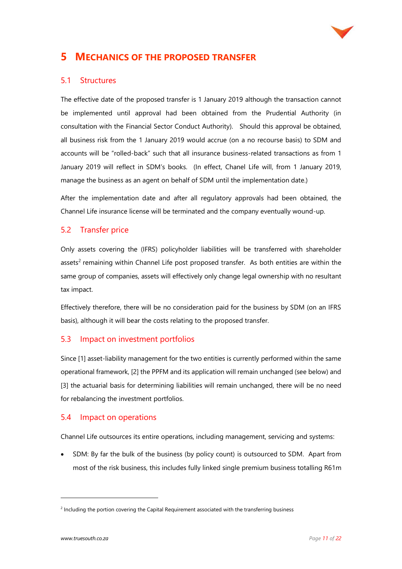

## **5 MECHANICS OF THE PROPOSED TRANSFER**

#### 5.1 Structures

The effective date of the proposed transfer is 1 January 2019 although the transaction cannot be implemented until approval had been obtained from the Prudential Authority (in consultation with the Financial Sector Conduct Authority). Should this approval be obtained, all business risk from the 1 January 2019 would accrue (on a no recourse basis) to SDM and accounts will be "rolled-back" such that all insurance business-related transactions as from 1 January 2019 will reflect in SDM's books. (In effect, Chanel Life will, from 1 January 2019, manage the business as an agent on behalf of SDM until the implementation date.)

After the implementation date and after all regulatory approvals had been obtained, the Channel Life insurance license will be terminated and the company eventually wound-up.

#### 5.2 Transfer price

Only assets covering the (IFRS) policyholder liabilities will be transferred with shareholder assets<sup>2</sup> remaining within Channel Life post proposed transfer. As both entities are within the same group of companies, assets will effectively only change legal ownership with no resultant tax impact.

Effectively therefore, there will be no consideration paid for the business by SDM (on an IFRS basis), although it will bear the costs relating to the proposed transfer.

#### 5.3 Impact on investment portfolios

Since [1] asset-liability management for the two entities is currently performed within the same operational framework, [2] the PPFM and its application will remain unchanged (see below) and [3] the actuarial basis for determining liabilities will remain unchanged, there will be no need for rebalancing the investment portfolios.

#### 5.4 Impact on operations

Channel Life outsources its entire operations, including management, servicing and systems:

• SDM: By far the bulk of the business (by policy count) is outsourced to SDM. Apart from most of the risk business, this includes fully linked single premium business totalling R61m

<sup>&</sup>lt;sup>2</sup> Including the portion covering the Capital Requirement associated with the transferring business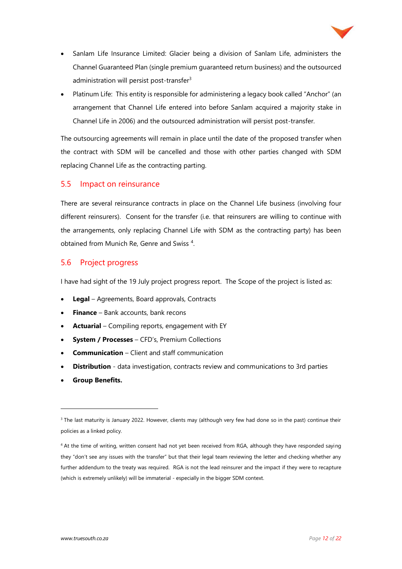

- Sanlam Life Insurance Limited: Glacier being a division of Sanlam Life, administers the Channel Guaranteed Plan (single premium guaranteed return business) and the outsourced administration will persist post-transfer<sup>3</sup>
- Platinum Life: This entity is responsible for administering a legacy book called "Anchor" (an arrangement that Channel Life entered into before Sanlam acquired a majority stake in Channel Life in 2006) and the outsourced administration will persist post-transfer.

The outsourcing agreements will remain in place until the date of the proposed transfer when the contract with SDM will be cancelled and those with other parties changed with SDM replacing Channel Life as the contracting parting.

#### 5.5 Impact on reinsurance

There are several reinsurance contracts in place on the Channel Life business (involving four different reinsurers). Consent for the transfer (i.e. that reinsurers are willing to continue with the arrangements, only replacing Channel Life with SDM as the contracting party) has been obtained from Munich Re, Genre and Swiss<sup>4</sup>.

#### 5.6 Project progress

I have had sight of the 19 July project progress report. The Scope of the project is listed as:

- **Legal** Agreements, Board approvals, Contracts
- **Finance** Bank accounts, bank recons
- **Actuarial** Compiling reports, engagement with EY
- **System / Processes**  CFD's, Premium Collections
- **Communication** Client and staff communication
- **Distribution** data investigation, contracts review and communications to 3rd parties
- **Group Benefits.**

<sup>&</sup>lt;sup>3</sup> The last maturity is January 2022. However, clients may (although very few had done so in the past) continue their policies as a linked policy.

<sup>4</sup> At the time of writing, written consent had not yet been received from RGA, although they have responded saying they "don't see any issues with the transfer" but that their legal team reviewing the letter and checking whether any further addendum to the treaty was required. RGA is not the lead reinsurer and the impact if they were to recapture (which is extremely unlikely) will be immaterial - especially in the bigger SDM context.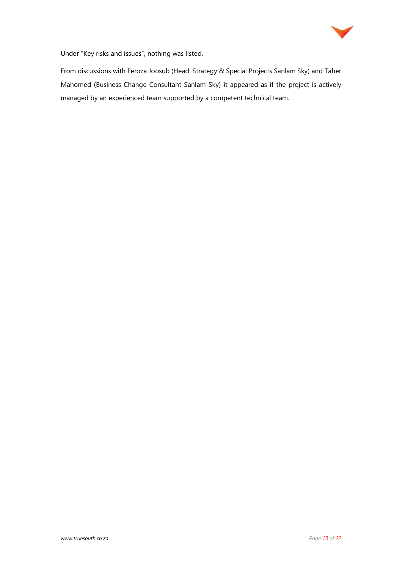

Under "Key risks and issues", nothing was listed.

From discussions with Feroza Joosub (Head: Strategy & Special Projects Sanlam Sky) and Taher Mahomed (Business Change Consultant Sanlam Sky) it appeared as if the project is actively managed by an experienced team supported by a competent technical team.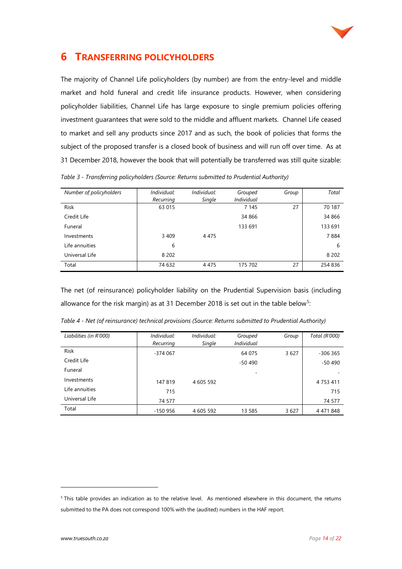

## **6 TRANSFERRING POLICYHOLDERS**

The majority of Channel Life policyholders (by number) are from the entry-level and middle market and hold funeral and credit life insurance products. However, when considering policyholder liabilities, Channel Life has large exposure to single premium policies offering investment guarantees that were sold to the middle and affluent markets. Channel Life ceased to market and sell any products since 2017 and as such, the book of policies that forms the subject of the proposed transfer is a closed book of business and will run off over time. As at 31 December 2018, however the book that will potentially be transferred was still quite sizable:

*Number of policyholders Individual: Recurring Individual: Single Grouped Individual Group Total* Risk 63 015 7 145 27 70 187 Credit Life 34 866 34 866 Funeral 133 691 133 691 Investments 3 409 4 475 7 884 Life annuities 6 6 Universal Life 8 202 8 202 Total 74 632 4 475 175 702 27 254 836

*Table 3 - Transferring policyholders (Source: Returns submitted to Prudential Authority)*

The net (of reinsurance) policyholder liability on the Prudential Supervision basis (including allowance for the risk margin) as at 31 December 2018 is set out in the table below<sup>5</sup>:

| Liabilities (in R'000) | Individual: | Individual: | Grouped           | Group | Total (R'000) |
|------------------------|-------------|-------------|-------------------|-------|---------------|
|                        | Recurring   | Single      | <b>Individual</b> |       |               |
| Risk                   | $-374067$   |             | 64 075            | 3627  | $-306365$     |
| Credit Life            |             |             | $-50490$          |       | $-50490$      |
| Funeral                |             |             |                   |       |               |
| Investments            | 147819      | 4 605 592   |                   |       | 4 7 5 3 4 1 1 |
| Life annuities         | 715         |             |                   |       | 715           |
| Universal Life         | 74 577      |             |                   |       | 74 577        |
| Total                  | $-150956$   | 4 605 592   | 13 585            | 3627  | 4 4 7 1 8 4 8 |

*Table 4 - Net (of reinsurance) technical provisions (Source: Returns submitted to Prudential Authority)*

<sup>5</sup> This table provides an indication as to the relative level. As mentioned elsewhere in this document, the returns submitted to the PA does not correspond 100% with the (audited) numbers in the HAF report.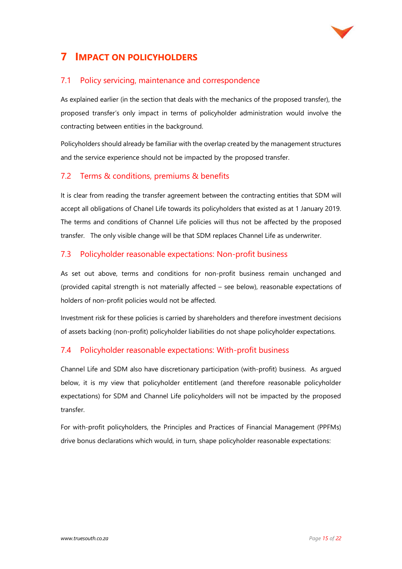

## **7 IMPACT ON POLICYHOLDERS**

#### 7.1 Policy servicing, maintenance and correspondence

As explained earlier (in the section that deals with the mechanics of the proposed transfer), the proposed transfer's only impact in terms of policyholder administration would involve the contracting between entities in the background.

Policyholders should already be familiar with the overlap created by the management structures and the service experience should not be impacted by the proposed transfer.

#### 7.2 Terms & conditions, premiums & benefits

It is clear from reading the transfer agreement between the contracting entities that SDM will accept all obligations of Chanel Life towards its policyholders that existed as at 1 January 2019. The terms and conditions of Channel Life policies will thus not be affected by the proposed transfer. The only visible change will be that SDM replaces Channel Life as underwriter.

#### 7.3 Policyholder reasonable expectations: Non-profit business

As set out above, terms and conditions for non-profit business remain unchanged and (provided capital strength is not materially affected – see below), reasonable expectations of holders of non-profit policies would not be affected.

Investment risk for these policies is carried by shareholders and therefore investment decisions of assets backing (non-profit) policyholder liabilities do not shape policyholder expectations.

#### 7.4 Policyholder reasonable expectations: With-profit business

Channel Life and SDM also have discretionary participation (with-profit) business. As argued below, it is my view that policyholder entitlement (and therefore reasonable policyholder expectations) for SDM and Channel Life policyholders will not be impacted by the proposed transfer.

For with-profit policyholders, the Principles and Practices of Financial Management (PPFMs) drive bonus declarations which would, in turn, shape policyholder reasonable expectations: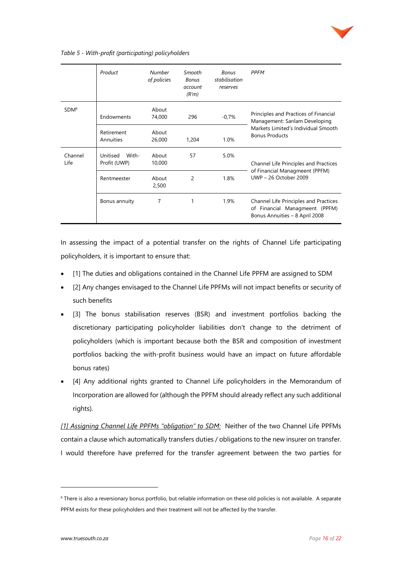

#### *Table 5 - With-profit (participating) policyholders*

|                  | Product                           | <b>Number</b><br>of policies | Smooth<br><b>Bonus</b><br>account<br>(R'm) | <b>Bonus</b><br>stabilisation<br>reserves | <b>PPFM</b>                                                                                               |  |
|------------------|-----------------------------------|------------------------------|--------------------------------------------|-------------------------------------------|-----------------------------------------------------------------------------------------------------------|--|
| SDM <sup>6</sup> | Endowments                        | About<br>74,000              | 296                                        | $-0,7%$                                   | Principles and Practices of Financial<br>Management: Sanlam Developing                                    |  |
|                  | Retirement<br>Annuities           | About<br>26,000              | 1,204                                      | 1.0%                                      | Markets Limited's Individual Smooth<br><b>Bonus Products</b>                                              |  |
| Channel<br>Life  | Unitised<br>With-<br>Profit (UWP) | About<br>10,000              | 57                                         | 5.0%                                      | Channel Life Principles and Practices                                                                     |  |
|                  | Rentmeester                       | About<br>2,500               | 2                                          | 1.8%                                      | of Financial Managmeent (PPFM)<br>UWP - 26 October 2009                                                   |  |
|                  | Bonus annuity                     | 7                            |                                            | 1.9%                                      | Channel Life Principles and Practices<br>of Financial Managmeent (PPFM)<br>Bonus Annuities - 8 April 2008 |  |

In assessing the impact of a potential transfer on the rights of Channel Life participating policyholders, it is important to ensure that:

- [1] The duties and obligations contained in the Channel Life PPFM are assigned to SDM
- [2] Any changes envisaged to the Channel Life PPFMs will not impact benefits or security of such benefits
- [3] The bonus stabilisation reserves (BSR) and investment portfolios backing the discretionary participating policyholder liabilities don't change to the detriment of policyholders (which is important because both the BSR and composition of investment portfolios backing the with-profit business would have an impact on future affordable bonus rates)
- [4] Any additional rights granted to Channel Life policyholders in the Memorandum of Incorporation are allowed for (although the PPFM should already reflect any such additional rights).

*[1] Assigning Channel Life PPFMs "obligation" to SDM:* Neither of the two Channel Life PPFMs contain a clause which automatically transfers duties / obligations to the new insurer on transfer. I would therefore have preferred for the transfer agreement between the two parties for

<sup>&</sup>lt;sup>6</sup> There is also a reversionary bonus portfolio, but reliable information on these old policies is not available. A separate PPFM exists for these policyholders and their treatment will not be affected by the transfer.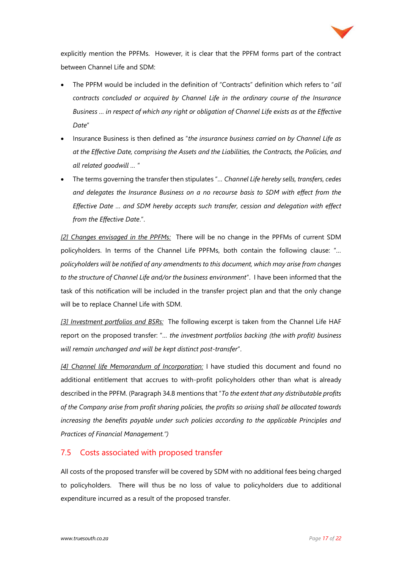

explicitly mention the PPFMs. However, it is clear that the PPFM forms part of the contract between Channel Life and SDM:

- The PPFM would be included in the definition of "Contracts" definition which refers to "*all contracts concluded or acquired by Channel Life in the ordinary course of the Insurance Business … in respect of which any right or obligation of Channel Life exists as at the Effective Date*"
- Insurance Business is then defined as "*the insurance business carried on by Channel Life as at the Effective Date, comprising the Assets and the Liabilities, the Contracts, the Policies, and all related goodwill …* "
- The terms governing the transfer then stipulates "*… Channel Life hereby sells, transfers, cedes and delegates the Insurance Business on a no recourse basis to SDM with effect from the Effective Date … and SDM hereby accepts such transfer, cession and delegation with effect from the Effective Date*.".

*[2] Changes envisaged in the PPFMs:* There will be no change in the PPFMs of current SDM policyholders. In terms of the Channel Life PPFMs, both contain the following clause: "*… policyholders will be notified of any amendments to this document, which may arise from changes to the structure of Channel Life and/or the business environment*". I have been informed that the task of this notification will be included in the transfer project plan and that the only change will be to replace Channel Life with SDM.

*[3] Investment portfolios and BSRs:* The following excerpt is taken from the Channel Life HAF report on the proposed transfer: "*… the investment portfolios backing (the with profit) business will remain unchanged and will be kept distinct post-transfer*".

*[4] Channel life Memorandum of Incorporation:* I have studied this document and found no additional entitlement that accrues to with-profit policyholders other than what is already described in the PPFM. (Paragraph 34.8 mentions that "*To the extent that any distributable profits of the Company arise from profit sharing policies, the profits so arising shall be allocated towards increasing the benefits payable under such policies according to the applicable Principles and Practices of Financial Management.")*

#### 7.5 Costs associated with proposed transfer

All costs of the proposed transfer will be covered by SDM with no additional fees being charged to policyholders. There will thus be no loss of value to policyholders due to additional expenditure incurred as a result of the proposed transfer.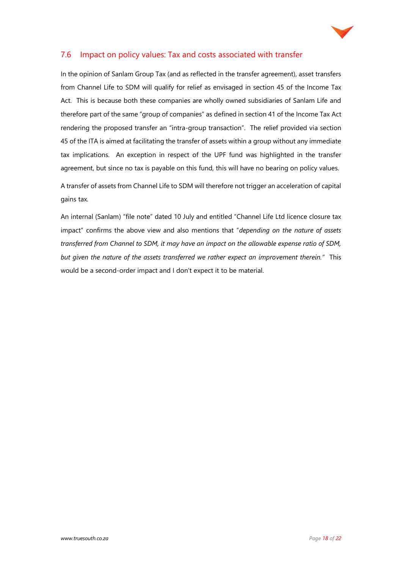

#### 7.6 Impact on policy values: Tax and costs associated with transfer

In the opinion of Sanlam Group Tax (and as reflected in the transfer agreement), asset transfers from Channel Life to SDM will qualify for relief as envisaged in section 45 of the Income Tax Act. This is because both these companies are wholly owned subsidiaries of Sanlam Life and therefore part of the same "group of companies" as defined in section 41 of the Income Tax Act rendering the proposed transfer an "intra-group transaction". The relief provided via section 45 of the ITA is aimed at facilitating the transfer of assets within a group without any immediate tax implications. An exception in respect of the UPF fund was highlighted in the transfer agreement, but since no tax is payable on this fund, this will have no bearing on policy values.

A transfer of assets from Channel Life to SDM will therefore not trigger an acceleration of capital gains tax.

An internal (Sanlam) "file note" dated 10 July and entitled "Channel Life Ltd licence closure tax impact" confirms the above view and also mentions that "*depending on the nature of assets transferred from Channel to SDM, it may have an impact on the allowable expense ratio of SDM, but given the nature of the assets transferred we rather expect an improvement therein."* This would be a second-order impact and I don't expect it to be material.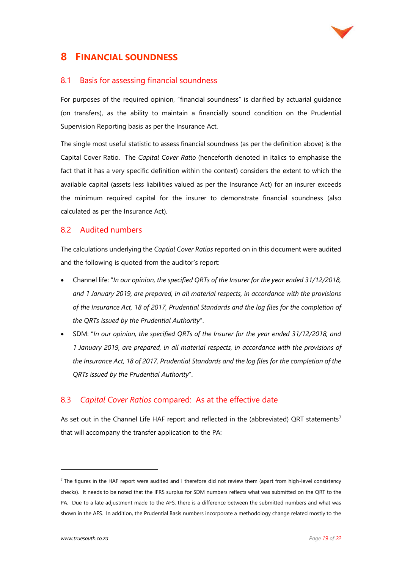

## **8 FINANCIAL SOUNDNESS**

#### 8.1 Basis for assessing financial soundness

For purposes of the required opinion, "financial soundness" is clarified by actuarial guidance (on transfers), as the ability to maintain a financially sound condition on the Prudential Supervision Reporting basis as per the Insurance Act.

The single most useful statistic to assess financial soundness (as per the definition above) is the Capital Cover Ratio. The *Capital Cover Ratio* (henceforth denoted in italics to emphasise the fact that it has a very specific definition within the context) considers the extent to which the available capital (assets less liabilities valued as per the Insurance Act) for an insurer exceeds the minimum required capital for the insurer to demonstrate financial soundness (also calculated as per the Insurance Act).

#### 8.2 Audited numbers

The calculations underlying the *Captial Cover Ratios* reported on in this document were audited and the following is quoted from the auditor's report:

- Channel life: "*In our opinion, the specified QRTs of the Insurer for the year ended 31/12/2018, and 1 January 2019, are prepared, in all material respects, in accordance with the provisions of the Insurance Act, 18 of 2017, Prudential Standards and the log files for the completion of the QRTs issued by the Prudential Authority*".
- SDM: "*In our opinion, the specified QRTs of the Insurer for the year ended 31/12/2018, and 1 January 2019, are prepared, in all material respects, in accordance with the provisions of the Insurance Act, 18 of 2017, Prudential Standards and the log files for the completion of the QRTs issued by the Prudential Authority*".

#### 8.3 *Capital Cover Ratios* compared: As at the effective date

As set out in the Channel Life HAF report and reflected in the (abbreviated) QRT statements<sup>7</sup> that will accompany the transfer application to the PA:

 $7$  The figures in the HAF report were audited and I therefore did not review them (apart from high-level consistency checks). It needs to be noted that the IFRS surplus for SDM numbers reflects what was submitted on the QRT to the PA. Due to a late adjustment made to the AFS, there is a difference between the submitted numbers and what was shown in the AFS. In addition, the Prudential Basis numbers incorporate a methodology change related mostly to the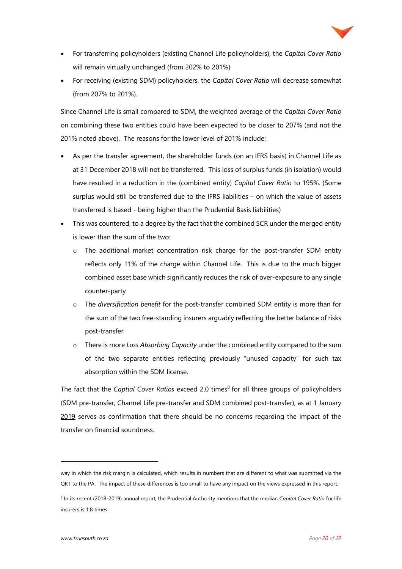

- For transferring policyholders (existing Channel Life policyholders), the *Capital Cover Ratio* will remain virtually unchanged (from 202% to 201%)
- For receiving (existing SDM) policyholders, the *Capital Cover Ratio* will decrease somewhat (from 207% to 201%).

Since Channel Life is small compared to SDM, the weighted average of the *Capital Cover Ratio*  on combining these two entities could have been expected to be closer to 207% (and not the 201% noted above). The reasons for the lower level of 201% include:

- As per the transfer agreement, the shareholder funds (on an IFRS basis) in Channel Life as at 31 December 2018 will not be transferred. This loss of surplus funds (in isolation) would have resulted in a reduction in the (combined entity) *Capital Cover Ratio* to 195%. (Some surplus would still be transferred due to the IFRS liabilities – on which the value of assets transferred is based - being higher than the Prudential Basis liabilities)
- This was countered, to a degree by the fact that the combined SCR under the merged entity is lower than the sum of the two:
	- $\circ$  The additional market concentration risk charge for the post-transfer SDM entity reflects only 11% of the charge within Channel Life. This is due to the much bigger combined asset base which significantly reduces the risk of over-exposure to any single counter-party
	- o The *diversification benefit* for the post-transfer combined SDM entity is more than for the sum of the two free-standing insurers arguably reflecting the better balance of risks post-transfer
	- o There is more *Loss Absorbing Capacity* under the combined entity compared to the sum of the two separate entities reflecting previously "unused capacity" for such tax absorption within the SDM license.

The fact that the *Captial Cover Ratios* exceed 2.0 times<sup>8</sup> for all three groups of policyholders (SDM pre-transfer, Channel Life pre-transfer and SDM combined post-transfer), as at 1 January 2019 serves as confirmation that there should be no concerns regarding the impact of the transfer on financial soundness.

way in which the risk margin is calculated, which results in numbers that are different to what was submitted via the QRT to the PA. The impact of these differences is too small to have any impact on the views expressed in this report.

<sup>8</sup> In its recent (2018-2019) annual report, the Prudential Authority mentions that the median *Capital Cover Ratio* for life insurers is 1.8 times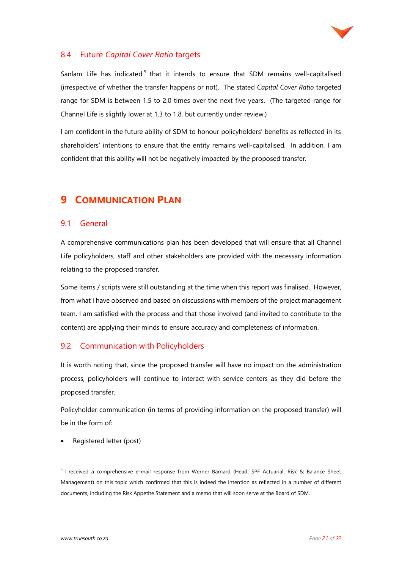

#### 8.4 Future *Capital Cover Ratio* targets

Sanlam Life has indicated<sup>9</sup> that it intends to ensure that SDM remains well-capitalised (irrespective of whether the transfer happens or not). The stated *Capital Cover Ratio* targeted range for SDM is between 1.5 to 2.0 times over the next five years. (The targeted range for Channel Life is slightly lower at 1.3 to 1.8, but currently under review.)

I am confident in the future ability of SDM to honour policyholders' benefits as reflected in its shareholders' intentions to ensure that the entity remains well-capitalised. In addition, I am confident that this ability will not be negatively impacted by the proposed transfer.

## **9 COMMUNICATION PLAN**

#### 9.1 General

A comprehensive communications plan has been developed that will ensure that all Channel Life policyholders, staff and other stakeholders are provided with the necessary information relating to the proposed transfer.

Some items / scripts were still outstanding at the time when this report was finalised. However, from what I have observed and based on discussions with members of the project management team, I am satisfied with the process and that those involved (and invited to contribute to the content) are applying their minds to ensure accuracy and completeness of information.

#### 9.2 Communication with Policyholders

It is worth noting that, since the proposed transfer will have no impact on the administration process, policyholders will continue to interact with service centers as they did before the proposed transfer.

Policyholder communication (in terms of providing information on the proposed transfer) will be in the form of:

• Registered letter (post)

<sup>&</sup>lt;sup>9</sup> I received a comprehensive e-mail response from Werner Barnard (Head: SPF Actuarial: Risk & Balance Sheet Management) on this topic which confirmed that this is indeed the intention as reflected in a number of different documents, including the Risk Appetite Statement and a memo that will soon serve at the Board of SDM.